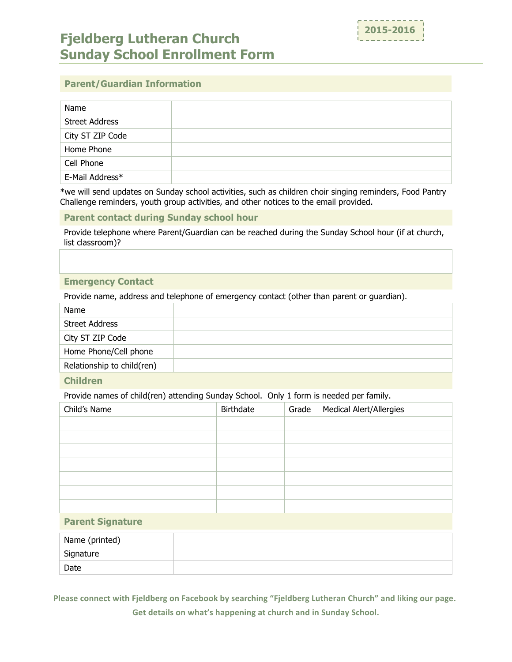

# **Fjeldberg Lutheran Church Sunday School Enrollment Form**

## **Parent/Guardian Information**

| Name                  |  |
|-----------------------|--|
| <b>Street Address</b> |  |
| City ST ZIP Code      |  |
| Home Phone            |  |
| Cell Phone            |  |
| E-Mail Address*       |  |

\*we will send updates on Sunday school activities, such as children choir singing reminders, Food Pantry Challenge reminders, youth group activities, and other notices to the email provided.

#### **Parent contact during Sunday school hour**

Provide telephone where Parent/Guardian can be reached during the Sunday School hour (if at church, list classroom)?

#### **Emergency Contact**

Provide name, address and telephone of emergency contact (other than parent or guardian).

| Name                       |  |
|----------------------------|--|
| <b>Street Address</b>      |  |
| City ST ZIP Code           |  |
| Home Phone/Cell phone      |  |
| Relationship to child(ren) |  |
|                            |  |

### **Children**

Provide names of child(ren) attending Sunday School. Only 1 form is needed per family.

| Birthdate | Grade | <b>Medical Alert/Allergies</b> |
|-----------|-------|--------------------------------|
|           |       |                                |
|           |       |                                |
|           |       |                                |
|           |       |                                |
|           |       |                                |
|           |       |                                |
|           |       |                                |
|           |       |                                |

#### **Parent Signature**

| Name (printed) |  |
|----------------|--|
| Signature      |  |
| Date           |  |

Please connect with Fjeldberg on Facebook by searching "Fjeldberg Lutheran Church" and liking our page. Get details on what's happening at church and in Sunday School.